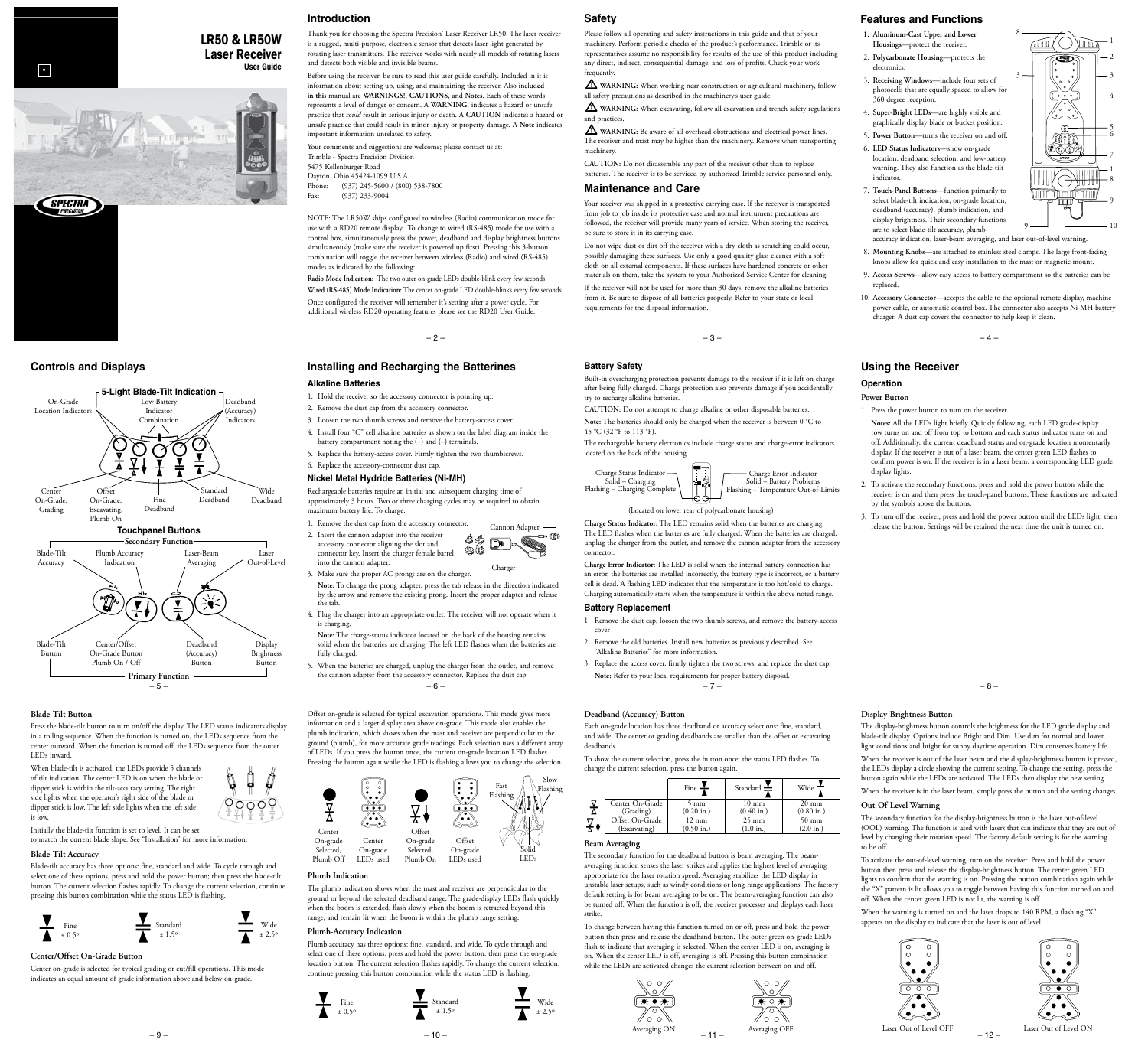# User Guide •

# LR50 & LR50W **Laser Receiver**<br>User Guide







# **Blade-Tilt Button**

Press the blade-tilt button to turn on/off the display. The LED status indicators display in a rolling sequence. When the function is turned on, the LEDs sequence from the center outward. When the function is turned off, the LEDs sequence from the outer LEDs inward.

> ₿ À

 $90009$ 

When blade-tilt is activated, the LEDs provide 5 channels of tilt indication. The center LED is on when the blade or dipper stick is within the tilt-accuracy setting. The right side lights when the operator's right side of the blade or dipper stick is low. The left side lights when the left side is low.

Initially the blade-tilt function is set to level. It can be set to match the current blade slope. See "Installation" for more information

# **Blade-Tilt Accuracy**

Blade-tilt accuracy has three options: fine, standard and wide. To cycle through and select one of these options, press and hold the power button; then press the blade-tilt button. The current selection flashes rapidly. To change the current selection, continue pressing this button combination while the status LED is flashing.



# **Center/Offset On-Grade Button**

Center on-grade is selected for typical grading or cut/fill operations. This mode indicates an equal amount of grade information above and below on-grade.

– 9 –

# **Introduction**

Thank you for choosing the Spectra Precision® Laser Receiver LR50. The laser receiver is a rugged, multi-purpose, electronic sensor that detects laser light generated by rotating laser transmitters. The receiver works with nearly all models of rotating lasers and detects both visible and invisible beams.

Before using the receiver, be sure to read this user guide carefully. Included in it is information about setting up, using, and maintaining the receiver. Also includ**ed in thi**s manual are **WARNINGS!**, **CAUTIONS**, and **Notes**. Each of these words represents a level of danger or concern. A **WARNING!** indicates a hazard or unsafe practice that *could* result in serious injury or death. A **CAUTION** indicates a hazard or unsafe practice that could result in minor injury or property damage. A **Note** indicates important information unrelated to safety.

Your comments and suggestions are welcome; please contact us at: Trimble - Spectra Precision Division 5475 Kellenburger Road Dayton, Ohio 45424-1099 U.S.A. Phone: (937) 245-5600 / (800) 538-7800<br>Fax: (937) 233-9004  $(937)$  233-9004

NOTE: The LR50W ships configured to wireless (Radio) communication mode for use with a RD20 remote display. To change to wired (RS-485) mode for use with a control box, simultaneously press the power, deadband and display brightness buttons simultaneously (make sure the receiver is powered up first). Pressing this 3-button combination will toggle the receiver between wireless (Radio) and wired (RS-485) modes as indicated by the following:

**Radio Mode Indication:** The two outer on-grade LEDs double-blink every few seconds **Wired (RS-485) Mode Indication:** The center on-grade LED double-blinks every few seconds Once configured the receiver will remember it's setting after a power cycle. For additional wireless RD20 operating features please see the RD20 User Guide.

 $-2-$ 

# **Controls and Displays Battery Safety Installing and Recharging the Batterines Alkaline Batteries**

- 1. Hold the receiver so the accessory connector is pointing up.
- 2. Remove the dust cap from the accessory connector.
- 3. Loosen the two thumb screws and remove the battery-access cover.
- 4. Install four "C" cell alkaline batteries as shown on the label diagram inside the
- battery compartment noting the (+) and (–) terminals. 5. Replace the battery-access cover. Firmly tighten the two thumbscrews.
- 6. Replace the accessory-connector dust cap.

# **Nickel Metal Hydride Batteries (Ni-MH)**

Rechargeable batteries require an initial and subsequent charging time of approximately 3 hours. Two or three charging cycles may be required to obtain maximum battery life. To charge:



connector key. Insert the charger female barrel into the cannon adapter. Charge

3. Make sure the proper AC prongs are on the charger. **Note:** To change the prong adapter, press the tab release in the direction indicated by the arrow and remove the existing prong. Insert the proper adapter and release the tab.

4. Plug the charger into an appropriate outlet. The receiver will not operate when it is charging.

**Note:** The charge-status indicator located on the back of the housing remains solid when the batteries are charging. The left LED flashes when the batteries are fully charged.

– 6 – 5. When the batteries are charged, unplug the charger from the outlet, and remove the cannon adapter from the accessory connector. Replace the dust cap.

Offset on-grade is selected for typical excavation operations. This mode gives more information and a larger display area above on-grade. This mode also enables the plumb indication, which shows when the mast and receiver are perpendicular to the ground (plumb), for more accurate grade readings. Each selection uses a different array of LEDs. If you press the button once, the current on-grade location LED flashes. Pressing the button again while the LED is flashing allows you to change the selection.



#### **Plumb Indication**

The plumb indication shows when the mast and receiver are perpendicular to the ground or beyond the selected deadband range. The grade-display LEDs flash quickly when the boom is extended, flash slowly when the boom is retracted beyond this range, and remain lit when the boom is within the plumb range setting.

## **Plumb-Accuracy Indication**

Fine ± 0.5º

Plumb accuracy has three options: fine, standard, and wide. To cycle through and select one of these options, press and hold the power button; then press the on-grade location button. The current selection flashes rapidly. To change the current selection, continue pressing this button combination while the status LED is flashing.

 $-10-$ 



# **Safety**

Please follow all operating and safety instructions in this guide and that of your machinery. Perform periodic checks of the product's performance. Trimble or its representatives assume no responsibility for results of the use of this product including any direct, indirect, consequential damage, and loss of profits. Check your work **frequently** 

 **WARNING:** When working near construction or agricultural machinery, follow all safety precautions as described in the machinery's user guide.

 **WARNING:** When excavating, follow all excavation and trench safety regulations and practices.

 **WARNING:** Be aware of all overhead obstructions and electrical power lines. The receiver and mast may be higher than the machinery. Remove when transporting machinery.

**CAUTION:** Do not disassemble any part of the receiver other than to replace batteries. The receiver is to be serviced by authorized Trimble service personnel only.

#### **Maintenance and Care**

Your receiver was shipped in a protective carrying case. If the receiver is transported from job to job inside its protective case and normal instrument precautions are followed, the receiver will provide many years of service. When storing the receiver, be sure to store it in its carrying case.

Do not wipe dust or dirt off the receiver with a dry cloth as scratching could occur, possibly damaging these surfaces. Use only a good quality glass cleaner with a soft cloth on all external components. If these surfaces have hardened concrete or other materials on them, take the system to your Authorized Service Center for cleaning. If the receiver will not be used for more than 30 days, remove the alkaline batteries from it. Be sure to dispose of all batteries properly. Refer to your state or local requirements for the disposal information.

Built-in overcharging protection prevents damage to the receiver if it is left on charge after being fully charged. Charge protection also prevents damage if you accidentally try to recharge alkaline batteries.

**CAUTION:** Do not attempt to charge alkaline or other disposable batteries. **Note:** The batteries should only be charged when the receiver is between 0 °C to

45 °C (32 °F to 113 °F).

The rechargeable battery electronics include charge status and charge-error indicators located on the back of the housing.





**Charge Status Indicator:** The LED remains solid when the batteries are charging. The LED flashes when the batteries are fully charged. When the batteries are charged, (Located on lower rear of polycarbonate housing)

unplug the charger from the outlet, and remove the cannon adapter from the accessory connector. **Charge Error Indicator:** The LED is solid when the internal battery connection has

an error, the batteries are installed incorrectly, the battery type is incorrect, or a battery cell is dead. A flashing LED indicates that the temperature is too hot/cold to charge. Charging automatically starts when the temperature is within the above noted range.

# **Battery Replacement**

- 1. Remove the dust cap, loosen the two thumb screws, and remove the battery-access cover
- 2. Remove the old batteries. Install new batteries as previously described. See "Alkaline Batteries" for more information.
- $-7-$ 3. Replace the access cover, firmly tighten the two screws, and replace the dust cap. **Note:** Refer to your local requirements for proper battery disposal.

## **Deadband (Accuracy) Button**

Each on-grade location has three deadband or accuracy selections: fine, standard, and wide. The center or grading deadbands are smaller than the offset or excavating deadbands.

To show the current selection, press the button once; the status LED flashes. To change the current selection, press the button again.

|                 | Fine                 | Standard $\equiv$    | Wide                 |
|-----------------|----------------------|----------------------|----------------------|
| Center On-Grade | 5 mm                 | $10 \text{ mm}$      | $20 \text{ mm}$      |
| (Grading)       | $(0.20 \text{ in.})$ | $(0.40 \text{ in.})$ | $(0.80 \text{ in.})$ |
| Offset On-Grade | $12 \text{ mm}$      | $25 \text{ mm}$      | 50 mm                |
| (Excavating)    | $(0.50 \text{ in.})$ | (1.0 in.)            | $(2.0 \text{ in.})$  |

## **Beam Averaging**

The secondary function for the deadband button is beam averaging. The beamaveraging function senses the laser strikes and applies the highest level of averaging appropriate for the laser rotation speed. Averaging stabilizes the LED display in unstable laser setups, such as windy conditions or long-range applications. The factory default setting is for beam averaging to be on. The beam-averaging function can also be turned off. When the function is off, the receiver processes and displays each laser strike.

To change between having this function turned on or off, press and hold the power button then press and release the deadband button. The outer green on-grade LEDs flash to indicate that averaging is selected. When the center LED is on, averaging is on. When the center LED is off, averaging is off. Pressing this button combination while the LEDs are activated changes the current selection between on and off.

⁄ ० ०



# **Features and Functions**

- **1. Aluminum-Cast Upper and Lower Housings**—protect the receiver.
- 2. **Polycarbonate Housing**—protects the electronics.
- 3. **Receiving Windows**—include four sets of photocells that are equally spaced to allow for 360 degree reception.
- 4. **Super-Bright LEDs**—are highly visible and graphically display blade or bucket position.
- 5. **Power Button**—turns the receiver on and off.
- 6. **LED Status Indicators**—show on-grade location, deadband selection, and low-battery warning. They also function as the blade-tilt indicator.
- 7. **Touch-Panel Buttons**—function primarily to select blade-tilt indication, on-grade location, deadband (accuracy), plumb indication, and display brightness. Their secondary functions are to select blade-tilt accuracy, plumb-
- accuracy indication, laser-beam averaging, and laser out-of-level warning. 8. **Mounting Knobs**—are attached to stainless steel clamps. The large front-facing

8

3

9 8

 $9$   $\longrightarrow$  10

 $\mathbb{Z}$  ( ) )  $\mathbb{Z}$ 

 $\circledcirc$ 

1

7

6 5

- knobs allow for quick and easy installation to the mast or magnetic mount. 9. **Access Screws**—allow easy access to battery compartment so the batteries can be replaced.
- 10. **Accessory Connector**—accepts the cable to the optional remote display, machine power cable, or automatic control box. The connector also accepts Ni-MH battery charger. A dust cap covers the connector to help keep it clean.

 $-3-$ 

# **Using the Receiver**

### **Operation**

- **Power Button**
- 1. Press the power button to turn on the receiver.
- **Notes:** All the LEDs light briefly. Quickly following, each LED grade-display row turns on and off from top to bottom and each status indicator turns on and off. Additionally, the current deadband status and on-grade location momentarily display. If the receiver is out of a laser beam, the center green LED flashes to confirm power is on. If the receiver is in a laser beam, a corresponding LED grade display lights.
- 2. To activate the secondary functions, press and hold the power button while the receiver is on and then press the touch-panel buttons. These functions are indicated by the symbols above the buttons.
- 3. To turn off the receiver, press and hold the power button until the LEDs light; then release the button. Settings will be retained the next time the unit is turned on.

– 8 –

# **Display-Brightness Button**

**Out-Of-Level Warning**

to be off.

The display-brightness button controls the brightness for the LED grade display and blade-tilt display. Options include Bright and Dim. Use dim for normal and lower light conditions and bright for sunny daytime operation. Dim conserves battery life.

When the receiver is out of the laser beam and the display-brightness button is pressed, the LEDs display a circle showing the current setting. To change the setting, press the button again while the LEDs are activated. The LEDs then display the new setting.

When the receiver is in the laser beam, simply press the button and the setting changes.

The secondary function for the display-brightness button is the laser out-of-level (OOL) warning. The function is used with lasers that can indicate that they are out of level by changing their rotation speed. The factory default setting is for the warning

To activate the out-of-level warning, turn on the receiver. Press and hold the power button then press and release the display-brightness button. The center green LED lights to confirm that the warning is on. Pressing the button combination again while the "X" pattern is lit allows you to toggle between having this function turned on and

When the warning is turned on and the laser drops to 140 RPM, a flashing "X"

off. When the center green LED is not lit, the warning is off.

appears on the display to indicate that the laser is out of level.

– 12 –

⊷